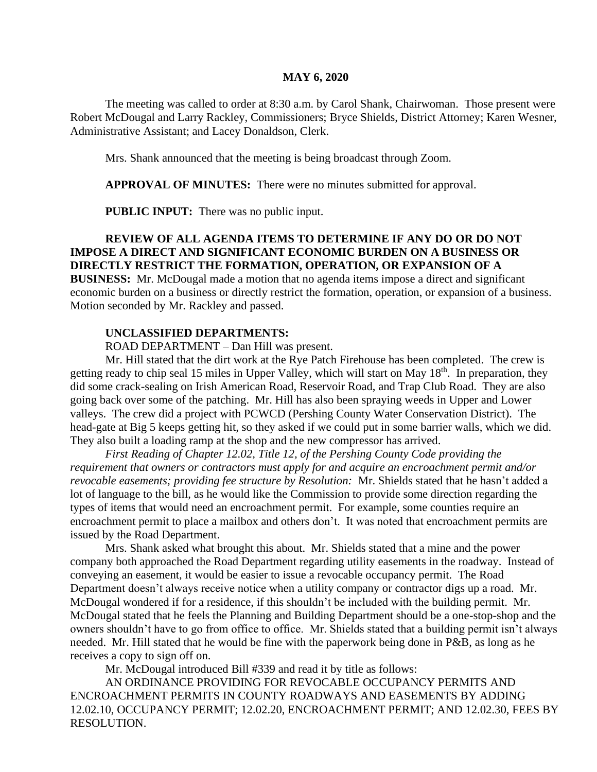#### **MAY 6, 2020**

The meeting was called to order at 8:30 a.m. by Carol Shank, Chairwoman. Those present were Robert McDougal and Larry Rackley, Commissioners; Bryce Shields, District Attorney; Karen Wesner, Administrative Assistant; and Lacey Donaldson, Clerk.

Mrs. Shank announced that the meeting is being broadcast through Zoom.

**APPROVAL OF MINUTES:** There were no minutes submitted for approval.

**PUBLIC INPUT:** There was no public input.

## **REVIEW OF ALL AGENDA ITEMS TO DETERMINE IF ANY DO OR DO NOT IMPOSE A DIRECT AND SIGNIFICANT ECONOMIC BURDEN ON A BUSINESS OR DIRECTLY RESTRICT THE FORMATION, OPERATION, OR EXPANSION OF A**

**BUSINESS:** Mr. McDougal made a motion that no agenda items impose a direct and significant economic burden on a business or directly restrict the formation, operation, or expansion of a business. Motion seconded by Mr. Rackley and passed.

#### **UNCLASSIFIED DEPARTMENTS:**

ROAD DEPARTMENT – Dan Hill was present.

Mr. Hill stated that the dirt work at the Rye Patch Firehouse has been completed. The crew is getting ready to chip seal 15 miles in Upper Valley, which will start on May 18<sup>th</sup>. In preparation, they did some crack-sealing on Irish American Road, Reservoir Road, and Trap Club Road. They are also going back over some of the patching. Mr. Hill has also been spraying weeds in Upper and Lower valleys. The crew did a project with PCWCD (Pershing County Water Conservation District). The head-gate at Big 5 keeps getting hit, so they asked if we could put in some barrier walls, which we did. They also built a loading ramp at the shop and the new compressor has arrived.

*First Reading of Chapter 12.02, Title 12, of the Pershing County Code providing the requirement that owners or contractors must apply for and acquire an encroachment permit and/or revocable easements; providing fee structure by Resolution:* Mr. Shields stated that he hasn't added a lot of language to the bill, as he would like the Commission to provide some direction regarding the types of items that would need an encroachment permit. For example, some counties require an encroachment permit to place a mailbox and others don't. It was noted that encroachment permits are issued by the Road Department.

Mrs. Shank asked what brought this about. Mr. Shields stated that a mine and the power company both approached the Road Department regarding utility easements in the roadway. Instead of conveying an easement, it would be easier to issue a revocable occupancy permit. The Road Department doesn't always receive notice when a utility company or contractor digs up a road. Mr. McDougal wondered if for a residence, if this shouldn't be included with the building permit. Mr. McDougal stated that he feels the Planning and Building Department should be a one-stop-shop and the owners shouldn't have to go from office to office. Mr. Shields stated that a building permit isn't always needed. Mr. Hill stated that he would be fine with the paperwork being done in P&B, as long as he receives a copy to sign off on.

Mr. McDougal introduced Bill #339 and read it by title as follows:

AN ORDINANCE PROVIDING FOR REVOCABLE OCCUPANCY PERMITS AND ENCROACHMENT PERMITS IN COUNTY ROADWAYS AND EASEMENTS BY ADDING 12.02.10, OCCUPANCY PERMIT; 12.02.20, ENCROACHMENT PERMIT; AND 12.02.30, FEES BY RESOLUTION.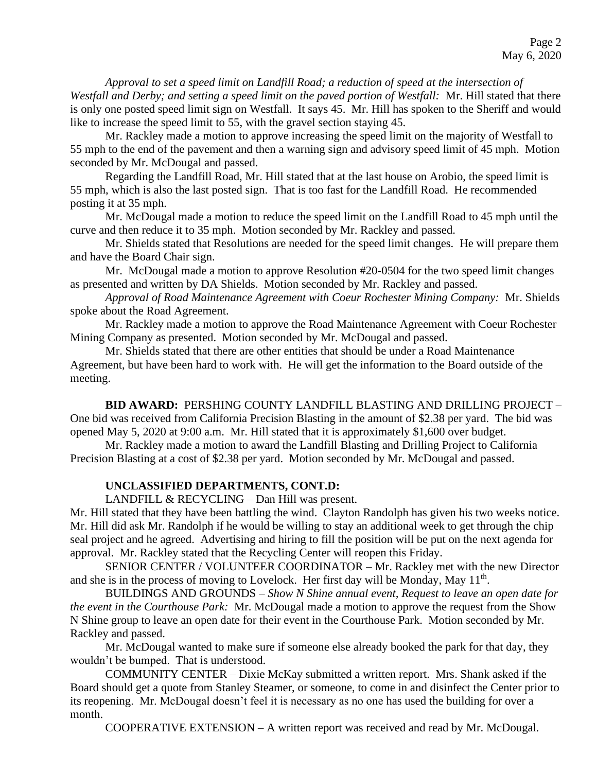*Approval to set a speed limit on Landfill Road; a reduction of speed at the intersection of Westfall and Derby; and setting a speed limit on the paved portion of Westfall:* Mr. Hill stated that there is only one posted speed limit sign on Westfall. It says 45. Mr. Hill has spoken to the Sheriff and would like to increase the speed limit to 55, with the gravel section staying 45.

Mr. Rackley made a motion to approve increasing the speed limit on the majority of Westfall to 55 mph to the end of the pavement and then a warning sign and advisory speed limit of 45 mph. Motion seconded by Mr. McDougal and passed.

Regarding the Landfill Road, Mr. Hill stated that at the last house on Arobio, the speed limit is 55 mph, which is also the last posted sign. That is too fast for the Landfill Road. He recommended posting it at 35 mph.

Mr. McDougal made a motion to reduce the speed limit on the Landfill Road to 45 mph until the curve and then reduce it to 35 mph. Motion seconded by Mr. Rackley and passed.

Mr. Shields stated that Resolutions are needed for the speed limit changes. He will prepare them and have the Board Chair sign.

Mr. McDougal made a motion to approve Resolution #20-0504 for the two speed limit changes as presented and written by DA Shields. Motion seconded by Mr. Rackley and passed.

*Approval of Road Maintenance Agreement with Coeur Rochester Mining Company:* Mr. Shields spoke about the Road Agreement.

Mr. Rackley made a motion to approve the Road Maintenance Agreement with Coeur Rochester Mining Company as presented. Motion seconded by Mr. McDougal and passed.

Mr. Shields stated that there are other entities that should be under a Road Maintenance Agreement, but have been hard to work with. He will get the information to the Board outside of the meeting.

**BID AWARD:** PERSHING COUNTY LANDFILL BLASTING AND DRILLING PROJECT – One bid was received from California Precision Blasting in the amount of \$2.38 per yard. The bid was opened May 5, 2020 at 9:00 a.m. Mr. Hill stated that it is approximately \$1,600 over budget.

Mr. Rackley made a motion to award the Landfill Blasting and Drilling Project to California Precision Blasting at a cost of \$2.38 per yard. Motion seconded by Mr. McDougal and passed.

### **UNCLASSIFIED DEPARTMENTS, CONT.D:**

LANDFILL & RECYCLING – Dan Hill was present.

Mr. Hill stated that they have been battling the wind. Clayton Randolph has given his two weeks notice. Mr. Hill did ask Mr. Randolph if he would be willing to stay an additional week to get through the chip seal project and he agreed. Advertising and hiring to fill the position will be put on the next agenda for approval. Mr. Rackley stated that the Recycling Center will reopen this Friday.

SENIOR CENTER / VOLUNTEER COORDINATOR – Mr. Rackley met with the new Director and she is in the process of moving to Lovelock. Her first day will be Monday, May  $11<sup>th</sup>$ .

BUILDINGS AND GROUNDS – *Show N Shine annual event, Request to leave an open date for the event in the Courthouse Park:* Mr. McDougal made a motion to approve the request from the Show N Shine group to leave an open date for their event in the Courthouse Park. Motion seconded by Mr. Rackley and passed.

Mr. McDougal wanted to make sure if someone else already booked the park for that day, they wouldn't be bumped. That is understood.

COMMUNITY CENTER – Dixie McKay submitted a written report. Mrs. Shank asked if the Board should get a quote from Stanley Steamer, or someone, to come in and disinfect the Center prior to its reopening. Mr. McDougal doesn't feel it is necessary as no one has used the building for over a month.

COOPERATIVE EXTENSION – A written report was received and read by Mr. McDougal.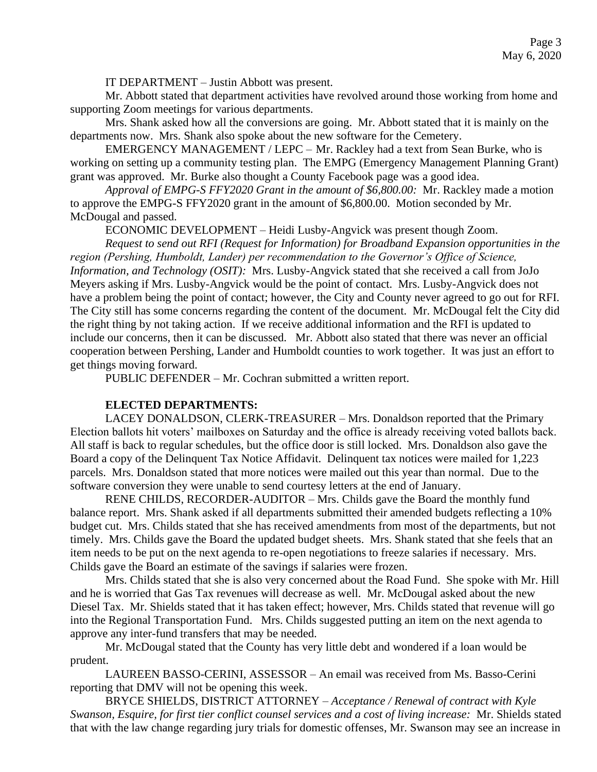IT DEPARTMENT – Justin Abbott was present.

Mr. Abbott stated that department activities have revolved around those working from home and supporting Zoom meetings for various departments.

Mrs. Shank asked how all the conversions are going. Mr. Abbott stated that it is mainly on the departments now. Mrs. Shank also spoke about the new software for the Cemetery.

EMERGENCY MANAGEMENT / LEPC – Mr. Rackley had a text from Sean Burke, who is working on setting up a community testing plan. The EMPG (Emergency Management Planning Grant) grant was approved. Mr. Burke also thought a County Facebook page was a good idea.

*Approval of EMPG-S FFY2020 Grant in the amount of \$6,800.00:* Mr. Rackley made a motion to approve the EMPG-S FFY2020 grant in the amount of \$6,800.00. Motion seconded by Mr. McDougal and passed.

ECONOMIC DEVELOPMENT – Heidi Lusby-Angvick was present though Zoom.

*Request to send out RFI (Request for Information) for Broadband Expansion opportunities in the region (Pershing, Humboldt, Lander) per recommendation to the Governor's Office of Science, Information, and Technology (OSIT):* Mrs. Lusby-Angvick stated that she received a call from JoJo Meyers asking if Mrs. Lusby-Angvick would be the point of contact. Mrs. Lusby-Angvick does not have a problem being the point of contact; however, the City and County never agreed to go out for RFI. The City still has some concerns regarding the content of the document. Mr. McDougal felt the City did the right thing by not taking action. If we receive additional information and the RFI is updated to include our concerns, then it can be discussed. Mr. Abbott also stated that there was never an official cooperation between Pershing, Lander and Humboldt counties to work together. It was just an effort to get things moving forward.

PUBLIC DEFENDER – Mr. Cochran submitted a written report.

### **ELECTED DEPARTMENTS:**

LACEY DONALDSON, CLERK-TREASURER – Mrs. Donaldson reported that the Primary Election ballots hit voters' mailboxes on Saturday and the office is already receiving voted ballots back. All staff is back to regular schedules, but the office door is still locked. Mrs. Donaldson also gave the Board a copy of the Delinquent Tax Notice Affidavit. Delinquent tax notices were mailed for 1,223 parcels. Mrs. Donaldson stated that more notices were mailed out this year than normal. Due to the software conversion they were unable to send courtesy letters at the end of January.

RENE CHILDS, RECORDER-AUDITOR – Mrs. Childs gave the Board the monthly fund balance report. Mrs. Shank asked if all departments submitted their amended budgets reflecting a 10% budget cut. Mrs. Childs stated that she has received amendments from most of the departments, but not timely. Mrs. Childs gave the Board the updated budget sheets. Mrs. Shank stated that she feels that an item needs to be put on the next agenda to re-open negotiations to freeze salaries if necessary. Mrs. Childs gave the Board an estimate of the savings if salaries were frozen.

Mrs. Childs stated that she is also very concerned about the Road Fund. She spoke with Mr. Hill and he is worried that Gas Tax revenues will decrease as well. Mr. McDougal asked about the new Diesel Tax. Mr. Shields stated that it has taken effect; however, Mrs. Childs stated that revenue will go into the Regional Transportation Fund. Mrs. Childs suggested putting an item on the next agenda to approve any inter-fund transfers that may be needed.

Mr. McDougal stated that the County has very little debt and wondered if a loan would be prudent.

LAUREEN BASSO-CERINI, ASSESSOR – An email was received from Ms. Basso-Cerini reporting that DMV will not be opening this week.

BRYCE SHIELDS, DISTRICT ATTORNEY – *Acceptance / Renewal of contract with Kyle Swanson, Esquire, for first tier conflict counsel services and a cost of living increase:* Mr. Shields stated that with the law change regarding jury trials for domestic offenses, Mr. Swanson may see an increase in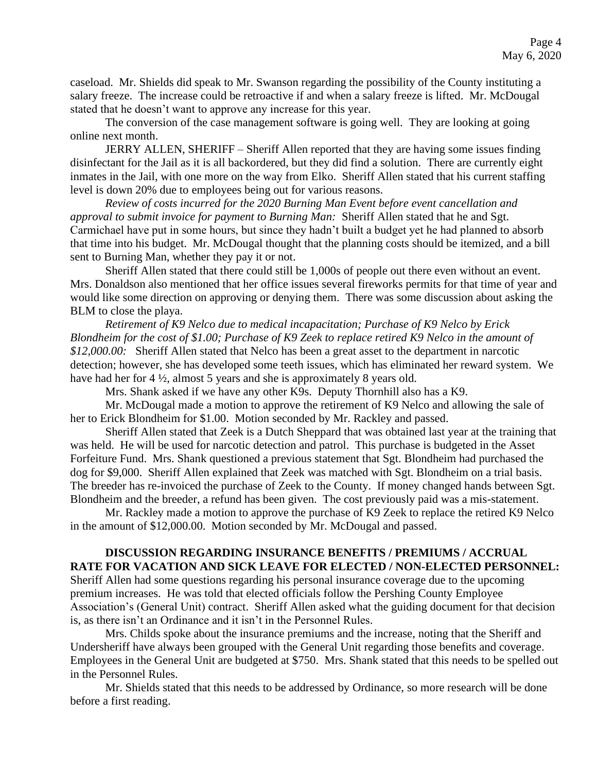caseload. Mr. Shields did speak to Mr. Swanson regarding the possibility of the County instituting a salary freeze. The increase could be retroactive if and when a salary freeze is lifted. Mr. McDougal stated that he doesn't want to approve any increase for this year.

The conversion of the case management software is going well. They are looking at going online next month.

JERRY ALLEN, SHERIFF – Sheriff Allen reported that they are having some issues finding disinfectant for the Jail as it is all backordered, but they did find a solution. There are currently eight inmates in the Jail, with one more on the way from Elko. Sheriff Allen stated that his current staffing level is down 20% due to employees being out for various reasons.

*Review of costs incurred for the 2020 Burning Man Event before event cancellation and approval to submit invoice for payment to Burning Man:* Sheriff Allen stated that he and Sgt. Carmichael have put in some hours, but since they hadn't built a budget yet he had planned to absorb that time into his budget. Mr. McDougal thought that the planning costs should be itemized, and a bill sent to Burning Man, whether they pay it or not.

Sheriff Allen stated that there could still be 1,000s of people out there even without an event. Mrs. Donaldson also mentioned that her office issues several fireworks permits for that time of year and would like some direction on approving or denying them. There was some discussion about asking the BLM to close the playa.

*Retirement of K9 Nelco due to medical incapacitation; Purchase of K9 Nelco by Erick Blondheim for the cost of \$1.00; Purchase of K9 Zeek to replace retired K9 Nelco in the amount of \$12,000.00:* Sheriff Allen stated that Nelco has been a great asset to the department in narcotic detection; however, she has developed some teeth issues, which has eliminated her reward system. We have had her for 4  $\frac{1}{2}$ , almost 5 years and she is approximately 8 years old.

Mrs. Shank asked if we have any other K9s. Deputy Thornhill also has a K9.

Mr. McDougal made a motion to approve the retirement of K9 Nelco and allowing the sale of her to Erick Blondheim for \$1.00. Motion seconded by Mr. Rackley and passed.

Sheriff Allen stated that Zeek is a Dutch Sheppard that was obtained last year at the training that was held. He will be used for narcotic detection and patrol. This purchase is budgeted in the Asset Forfeiture Fund. Mrs. Shank questioned a previous statement that Sgt. Blondheim had purchased the dog for \$9,000. Sheriff Allen explained that Zeek was matched with Sgt. Blondheim on a trial basis. The breeder has re-invoiced the purchase of Zeek to the County. If money changed hands between Sgt. Blondheim and the breeder, a refund has been given. The cost previously paid was a mis-statement.

Mr. Rackley made a motion to approve the purchase of K9 Zeek to replace the retired K9 Nelco in the amount of \$12,000.00. Motion seconded by Mr. McDougal and passed.

### **DISCUSSION REGARDING INSURANCE BENEFITS / PREMIUMS / ACCRUAL RATE FOR VACATION AND SICK LEAVE FOR ELECTED / NON-ELECTED PERSONNEL:**

Sheriff Allen had some questions regarding his personal insurance coverage due to the upcoming premium increases. He was told that elected officials follow the Pershing County Employee Association's (General Unit) contract. Sheriff Allen asked what the guiding document for that decision is, as there isn't an Ordinance and it isn't in the Personnel Rules.

Mrs. Childs spoke about the insurance premiums and the increase, noting that the Sheriff and Undersheriff have always been grouped with the General Unit regarding those benefits and coverage. Employees in the General Unit are budgeted at \$750. Mrs. Shank stated that this needs to be spelled out in the Personnel Rules.

Mr. Shields stated that this needs to be addressed by Ordinance, so more research will be done before a first reading.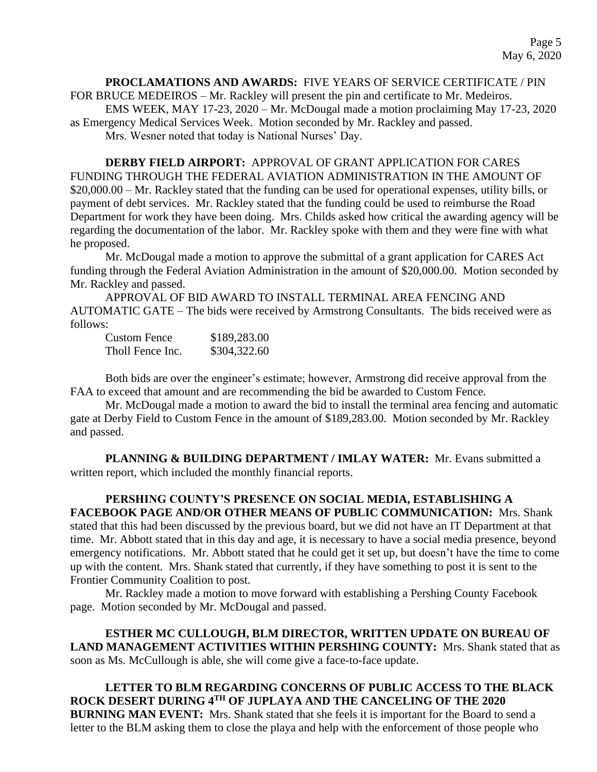**PROCLAMATIONS AND AWARDS:** FIVE YEARS OF SERVICE CERTIFICATE / PIN FOR BRUCE MEDEIROS – Mr. Rackley will present the pin and certificate to Mr. Medeiros. EMS WEEK, MAY 17-23, 2020 – Mr. McDougal made a motion proclaiming May 17-23, 2020 as Emergency Medical Services Week. Motion seconded by Mr. Rackley and passed. Mrs. Wesner noted that today is National Nurses' Day.

**DERBY FIELD AIRPORT:** APPROVAL OF GRANT APPLICATION FOR CARES FUNDING THROUGH THE FEDERAL AVIATION ADMINISTRATION IN THE AMOUNT OF \$20,000.00 – Mr. Rackley stated that the funding can be used for operational expenses, utility bills, or payment of debt services. Mr. Rackley stated that the funding could be used to reimburse the Road Department for work they have been doing. Mrs. Childs asked how critical the awarding agency will be regarding the documentation of the labor. Mr. Rackley spoke with them and they were fine with what he proposed.

Mr. McDougal made a motion to approve the submittal of a grant application for CARES Act funding through the Federal Aviation Administration in the amount of \$20,000.00. Motion seconded by Mr. Rackley and passed.

APPROVAL OF BID AWARD TO INSTALL TERMINAL AREA FENCING AND AUTOMATIC GATE – The bids were received by Armstrong Consultants. The bids received were as follows:

| <b>Custom Fence</b> | \$189,283.00 |
|---------------------|--------------|
| Tholl Fence Inc.    | \$304,322.60 |

Both bids are over the engineer's estimate; however, Armstrong did receive approval from the FAA to exceed that amount and are recommending the bid be awarded to Custom Fence.

Mr. McDougal made a motion to award the bid to install the terminal area fencing and automatic gate at Derby Field to Custom Fence in the amount of \$189,283.00. Motion seconded by Mr. Rackley and passed.

**PLANNING & BUILDING DEPARTMENT / IMLAY WATER:** Mr. Evans submitted a written report, which included the monthly financial reports.

**PERSHING COUNTY'S PRESENCE ON SOCIAL MEDIA, ESTABLISHING A FACEBOOK PAGE AND/OR OTHER MEANS OF PUBLIC COMMUNICATION:** Mrs. Shank stated that this had been discussed by the previous board, but we did not have an IT Department at that time. Mr. Abbott stated that in this day and age, it is necessary to have a social media presence, beyond emergency notifications. Mr. Abbott stated that he could get it set up, but doesn't have the time to come up with the content. Mrs. Shank stated that currently, if they have something to post it is sent to the

Frontier Community Coalition to post.

Mr. Rackley made a motion to move forward with establishing a Pershing County Facebook page. Motion seconded by Mr. McDougal and passed.

**ESTHER MC CULLOUGH, BLM DIRECTOR, WRITTEN UPDATE ON BUREAU OF LAND MANAGEMENT ACTIVITIES WITHIN PERSHING COUNTY:** Mrs. Shank stated that as soon as Ms. McCullough is able, she will come give a face-to-face update.

**LETTER TO BLM REGARDING CONCERNS OF PUBLIC ACCESS TO THE BLACK ROCK DESERT DURING 4TH OF JUPLAYA AND THE CANCELING OF THE 2020 BURNING MAN EVENT:** Mrs. Shank stated that she feels it is important for the Board to send a letter to the BLM asking them to close the playa and help with the enforcement of those people who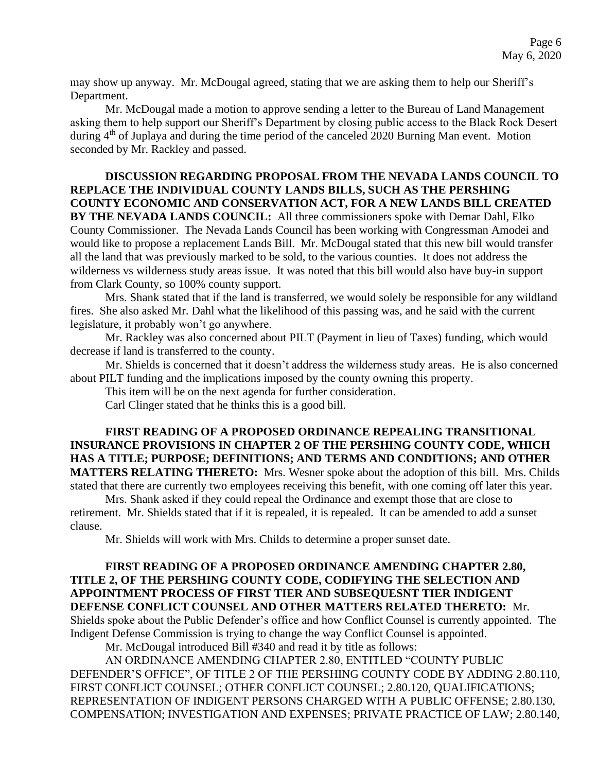may show up anyway. Mr. McDougal agreed, stating that we are asking them to help our Sheriff's Department.

Mr. McDougal made a motion to approve sending a letter to the Bureau of Land Management asking them to help support our Sheriff's Department by closing public access to the Black Rock Desert during 4<sup>th</sup> of Juplaya and during the time period of the canceled 2020 Burning Man event. Motion seconded by Mr. Rackley and passed.

### **DISCUSSION REGARDING PROPOSAL FROM THE NEVADA LANDS COUNCIL TO REPLACE THE INDIVIDUAL COUNTY LANDS BILLS, SUCH AS THE PERSHING COUNTY ECONOMIC AND CONSERVATION ACT, FOR A NEW LANDS BILL CREATED BY THE NEVADA LANDS COUNCIL:** All three commissioners spoke with Demar Dahl, Elko County Commissioner. The Nevada Lands Council has been working with Congressman Amodei and would like to propose a replacement Lands Bill. Mr. McDougal stated that this new bill would transfer all the land that was previously marked to be sold, to the various counties. It does not address the wilderness vs wilderness study areas issue. It was noted that this bill would also have buy-in support from Clark County, so 100% county support.

Mrs. Shank stated that if the land is transferred, we would solely be responsible for any wildland fires. She also asked Mr. Dahl what the likelihood of this passing was, and he said with the current legislature, it probably won't go anywhere.

Mr. Rackley was also concerned about PILT (Payment in lieu of Taxes) funding, which would decrease if land is transferred to the county.

Mr. Shields is concerned that it doesn't address the wilderness study areas. He is also concerned about PILT funding and the implications imposed by the county owning this property.

This item will be on the next agenda for further consideration.

Carl Clinger stated that he thinks this is a good bill.

### **FIRST READING OF A PROPOSED ORDINANCE REPEALING TRANSITIONAL INSURANCE PROVISIONS IN CHAPTER 2 OF THE PERSHING COUNTY CODE, WHICH HAS A TITLE; PURPOSE; DEFINITIONS; AND TERMS AND CONDITIONS; AND OTHER MATTERS RELATING THERETO:** Mrs. Wesner spoke about the adoption of this bill. Mrs. Childs stated that there are currently two employees receiving this benefit, with one coming off later this year.

Mrs. Shank asked if they could repeal the Ordinance and exempt those that are close to retirement. Mr. Shields stated that if it is repealed, it is repealed. It can be amended to add a sunset clause.

Mr. Shields will work with Mrs. Childs to determine a proper sunset date.

### **FIRST READING OF A PROPOSED ORDINANCE AMENDING CHAPTER 2.80, TITLE 2, OF THE PERSHING COUNTY CODE, CODIFYING THE SELECTION AND APPOINTMENT PROCESS OF FIRST TIER AND SUBSEQUESNT TIER INDIGENT DEFENSE CONFLICT COUNSEL AND OTHER MATTERS RELATED THERETO:** Mr. Shields spoke about the Public Defender's office and how Conflict Counsel is currently appointed. The Indigent Defense Commission is trying to change the way Conflict Counsel is appointed.

Mr. McDougal introduced Bill #340 and read it by title as follows:

AN ORDINANCE AMENDING CHAPTER 2.80, ENTITLED "COUNTY PUBLIC DEFENDER'S OFFICE", OF TITLE 2 OF THE PERSHING COUNTY CODE BY ADDING 2.80.110, FIRST CONFLICT COUNSEL; OTHER CONFLICT COUNSEL; 2.80.120, QUALIFICATIONS; REPRESENTATION OF INDIGENT PERSONS CHARGED WITH A PUBLIC OFFENSE; 2.80.130, COMPENSATION; INVESTIGATION AND EXPENSES; PRIVATE PRACTICE OF LAW; 2.80.140,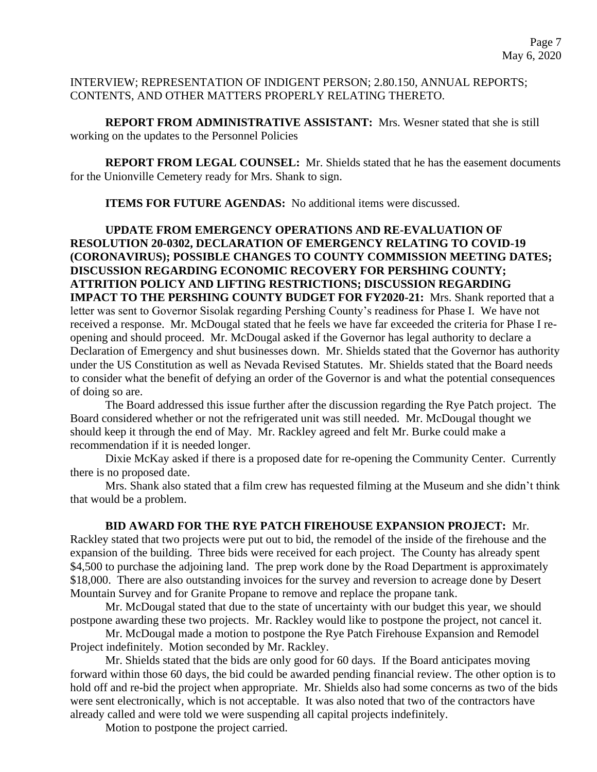INTERVIEW; REPRESENTATION OF INDIGENT PERSON; 2.80.150, ANNUAL REPORTS; CONTENTS, AND OTHER MATTERS PROPERLY RELATING THERETO.

**REPORT FROM ADMINISTRATIVE ASSISTANT:** Mrs. Wesner stated that she is still working on the updates to the Personnel Policies

**REPORT FROM LEGAL COUNSEL:** Mr. Shields stated that he has the easement documents for the Unionville Cemetery ready for Mrs. Shank to sign.

**ITEMS FOR FUTURE AGENDAS:** No additional items were discussed.

**UPDATE FROM EMERGENCY OPERATIONS AND RE-EVALUATION OF RESOLUTION 20-0302, DECLARATION OF EMERGENCY RELATING TO COVID-19 (CORONAVIRUS); POSSIBLE CHANGES TO COUNTY COMMISSION MEETING DATES; DISCUSSION REGARDING ECONOMIC RECOVERY FOR PERSHING COUNTY; ATTRITION POLICY AND LIFTING RESTRICTIONS; DISCUSSION REGARDING IMPACT TO THE PERSHING COUNTY BUDGET FOR FY2020-21:** Mrs. Shank reported that a letter was sent to Governor Sisolak regarding Pershing County's readiness for Phase I. We have not received a response. Mr. McDougal stated that he feels we have far exceeded the criteria for Phase I reopening and should proceed. Mr. McDougal asked if the Governor has legal authority to declare a Declaration of Emergency and shut businesses down. Mr. Shields stated that the Governor has authority under the US Constitution as well as Nevada Revised Statutes. Mr. Shields stated that the Board needs to consider what the benefit of defying an order of the Governor is and what the potential consequences of doing so are.

The Board addressed this issue further after the discussion regarding the Rye Patch project. The Board considered whether or not the refrigerated unit was still needed. Mr. McDougal thought we should keep it through the end of May. Mr. Rackley agreed and felt Mr. Burke could make a recommendation if it is needed longer.

Dixie McKay asked if there is a proposed date for re-opening the Community Center. Currently there is no proposed date.

Mrs. Shank also stated that a film crew has requested filming at the Museum and she didn't think that would be a problem.

### **BID AWARD FOR THE RYE PATCH FIREHOUSE EXPANSION PROJECT:** Mr.

Rackley stated that two projects were put out to bid, the remodel of the inside of the firehouse and the expansion of the building. Three bids were received for each project. The County has already spent \$4,500 to purchase the adjoining land. The prep work done by the Road Department is approximately \$18,000. There are also outstanding invoices for the survey and reversion to acreage done by Desert Mountain Survey and for Granite Propane to remove and replace the propane tank.

Mr. McDougal stated that due to the state of uncertainty with our budget this year, we should postpone awarding these two projects. Mr. Rackley would like to postpone the project, not cancel it.

Mr. McDougal made a motion to postpone the Rye Patch Firehouse Expansion and Remodel Project indefinitely. Motion seconded by Mr. Rackley.

Mr. Shields stated that the bids are only good for 60 days. If the Board anticipates moving forward within those 60 days, the bid could be awarded pending financial review. The other option is to hold off and re-bid the project when appropriate. Mr. Shields also had some concerns as two of the bids were sent electronically, which is not acceptable. It was also noted that two of the contractors have already called and were told we were suspending all capital projects indefinitely.

Motion to postpone the project carried.